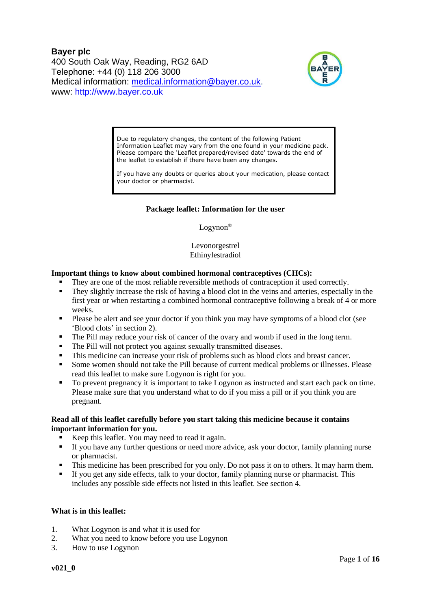**Bayer plc** 400 South Oak Way, Reading, RG2 6AD Telephone: +44 (0) 118 206 3000 Medical information: [medical.information@bayer.co.uk.](mailto:medical.information@bayer.co.uk) www: [http://www.bayer.co.uk](http://www.bayer.co.uk/)



Due to regulatory changes, the content of the following Patient Information Leaflet may vary from the one found in your medicine pack. Please compare the 'Leaflet prepared/revised date' towards the end of the leaflet to establish if there have been any changes.

If you have any doubts or queries about your medication, please contact your doctor or pharmacist.

# **Package leaflet: Information for the user**

Logynon®

Levonorgestrel Ethinylestradiol

#### **Important things to know about combined hormonal contraceptives (CHCs):**

- They are one of the most reliable reversible methods of contraception if used correctly.
- They slightly increase the risk of having a blood clot in the veins and arteries, especially in the first year or when restarting a combined hormonal contraceptive following a break of 4 or more weeks.
- Please be alert and see your doctor if you think you may have symptoms of a blood clot (see 'Blood clots' in section 2).
- The Pill may reduce your risk of cancer of the ovary and womb if used in the long term.
- The Pill will not protect you against sexually transmitted diseases.
- This medicine can increase your risk of problems such as blood clots and breast cancer.
- Some women should not take the Pill because of current medical problems or illnesses. Please read this leaflet to make sure Logynon is right for you.
- To prevent pregnancy it is important to take Logynon as instructed and start each pack on time. Please make sure that you understand what to do if you miss a pill or if you think you are pregnant.

#### **Read all of this leaflet carefully before you start taking this medicine because it contains important information for you.**

- Keep this leaflet. You may need to read it again.
- **If you have any further questions or need more advice, ask your doctor, family planning nurse** or pharmacist.
- This medicine has been prescribed for you only. Do not pass it on to others. It may harm them.
- If you get any side effects, talk to your doctor, family planning nurse or pharmacist. This includes any possible side effects not listed in this leaflet. See section 4.

#### **What is in this leaflet:**

- 1. What Logynon is and what it is used for
- 2. What you need to know before you use Logynon
- 3. How to use Logynon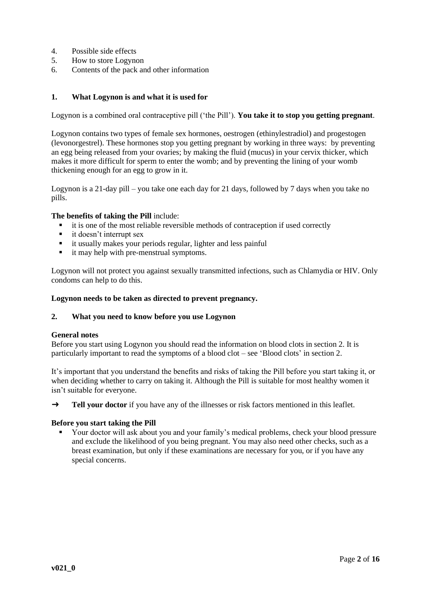- 4. Possible side effects<br>5. How to store Logyne
- 5. How to store Logynon
- 6. Contents of the pack and other information

## **1. What Logynon is and what it is used for**

Logynon is a combined oral contraceptive pill ('the Pill'). **You take it to stop you getting pregnant**.

Logynon contains two types of female sex hormones, oestrogen (ethinylestradiol) and progestogen (levonorgestrel). These hormones stop you getting pregnant by working in three ways: by preventing an egg being released from your ovaries; by making the fluid (mucus) in your cervix thicker, which makes it more difficult for sperm to enter the womb; and by preventing the lining of your womb thickening enough for an egg to grow in it.

Logynon is a 21-day pill – you take one each day for 21 days, followed by 7 days when you take no pills.

#### **The benefits of taking the Pill** include:

- it is one of the most reliable reversible methods of contraception if used correctly
- it doesn't interrupt sex
- it usually makes your periods regular, lighter and less painful
- it may help with pre-menstrual symptoms.

Logynon will not protect you against sexually transmitted infections, such as Chlamydia or HIV. Only condoms can help to do this.

#### **Logynon needs to be taken as directed to prevent pregnancy.**

#### **2. What you need to know before you use Logynon**

#### **General notes**

Before you start using Logynon you should read the information on blood clots in section 2. It is particularly important to read the symptoms of a blood clot – see 'Blood clots' in section 2.

It's important that you understand the benefits and risks of taking the Pill before you start taking it, or when deciding whether to carry on taking it. Although the Pill is suitable for most healthy women it isn't suitable for everyone.

→ **Tell your doctor** if you have any of the illnesses or risk factors mentioned in this leaflet.

## **Before you start taking the Pill**

▪ Your doctor will ask about you and your family's medical problems, check your blood pressure and exclude the likelihood of you being pregnant. You may also need other checks, such as a breast examination, but only if these examinations are necessary for you, or if you have any special concerns.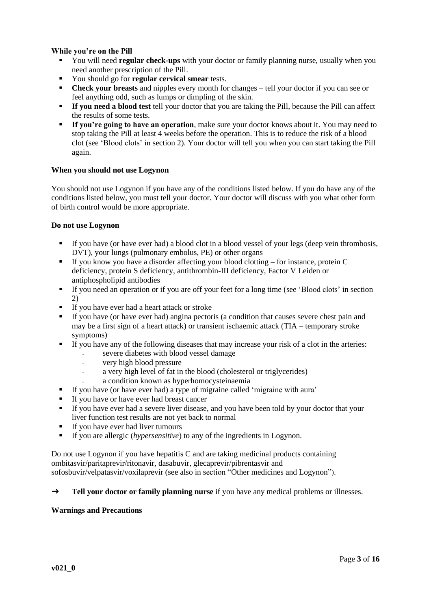# **While you're on the Pill**

- You will need **regular check-ups** with your doctor or family planning nurse, usually when you need another prescription of the Pill.
- You should go for **regular cervical smear** tests.
- **Check your breasts** and nipples every month for changes tell your doctor if you can see or feel anything odd, such as lumps or dimpling of the skin.
- **If you need a blood test** tell your doctor that you are taking the Pill, because the Pill can affect the results of some tests.
- **If you're going to have an operation**, make sure your doctor knows about it. You may need to stop taking the Pill at least 4 weeks before the operation. This is to reduce the risk of a blood clot (see 'Blood clots' in section 2). Your doctor will tell you when you can start taking the Pill again.

#### **When you should not use Logynon**

You should not use Logynon if you have any of the conditions listed below. If you do have any of the conditions listed below, you must tell your doctor. Your doctor will discuss with you what other form of birth control would be more appropriate.

# **Do not use Logynon**

- **■** If you have (or have ever had) a blood clot in a blood vessel of your legs (deep vein thrombosis, DVT), your lungs (pulmonary embolus, PE) or other organs
- If you know you have a disorder affecting your blood clotting for instance, protein C deficiency, protein S deficiency, antithrombin-III deficiency, Factor V Leiden or antiphospholipid antibodies
- If you need an operation or if you are off your feet for a long time (see 'Blood clots' in section 2)
- If you have ever had a heart attack or stroke
- If you have (or have ever had) angina pectoris (a condition that causes severe chest pain and may be a first sign of a heart attack) or transient ischaemic attack (TIA – temporary stroke symptoms)
- If you have any of the following diseases that may increase your risk of a clot in the arteries:
	- severe diabetes with blood vessel damage
	- very high blood pressure
	- a very high level of fat in the blood (cholesterol or triglycerides)
	- a condition known as hyperhomocysteinaemia
- If you have (or have ever had) a type of migraine called 'migraine with aura'
- If you have or have ever had breast cancer
- If you have ever had a severe liver disease, and you have been told by your doctor that your liver function test results are not yet back to normal
- If you have ever had liver tumours
- If you are allergic (*hypersensitive*) to any of the ingredients in Logynon.

Do not use Logynon if you have hepatitis C and are taking medicinal products containing ombitasvir/paritaprevir/ritonavir, dasabuvir, glecaprevir/pibrentasvir and sofosbuvir/velpatasvir/voxilaprevir (see also in section "Other medicines and Logynon").

#### → **Tell your doctor or family planning nurse** if you have any medical problems or illnesses.

#### **Warnings and Precautions**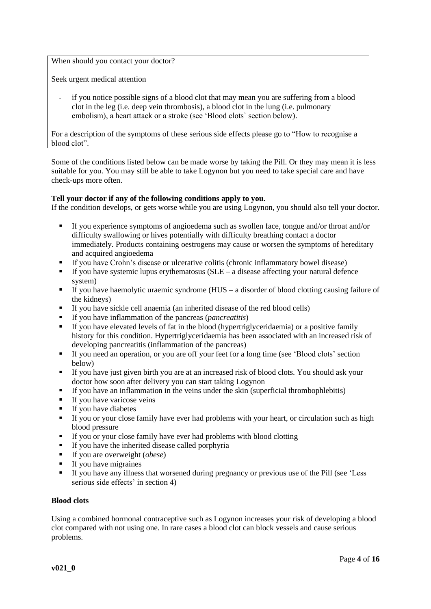When should you contact your doctor?

Seek urgent medical attention

if you notice possible signs of a blood clot that may mean you are suffering from a blood clot in the leg (i.e. deep vein thrombosis), a blood clot in the lung (i.e. pulmonary embolism), a heart attack or a stroke (see 'Blood clots` section below).

For a description of the symptoms of these serious side effects please go to "How to recognise a blood clot".

Some of the conditions listed below can be made worse by taking the Pill. Or they may mean it is less suitable for you. You may still be able to take Logynon but you need to take special care and have check-ups more often.

#### **Tell your doctor if any of the following conditions apply to you.**

If the condition develops, or gets worse while you are using Logynon, you should also tell your doctor.

- If you experience symptoms of angioedema such as swollen face, tongue and/or throat and/or difficulty swallowing or hives potentially with difficulty breathing contact a doctor immediately. Products containing oestrogens may cause or worsen the symptoms of hereditary and acquired angioedema
- If you have Crohn's disease or ulcerative colitis (chronic inflammatory bowel disease)
- $\blacksquare$  If you have systemic lupus erythematosus (SLE a disease affecting your natural defence system)
- $\blacksquare$  If you have haemolytic uraemic syndrome (HUS a disorder of blood clotting causing failure of the kidneys)
- If you have sickle cell anaemia (an inherited disease of the red blood cells)
- If you have inflammation of the pancreas (*pancreatitis*)
- If you have elevated levels of fat in the blood (hypertriglyceridaemia) or a positive family history for this condition. Hypertriglyceridaemia has been associated with an increased risk of developing pancreatitis (inflammation of the pancreas)
- **EXECUTE:** If you need an operation, or you are off your feet for a long time (see 'Blood clots' section below)
- If you have just given birth you are at an increased risk of blood clots. You should ask your doctor how soon after delivery you can start taking Logynon
- If you have an inflammation in the veins under the skin (superficial thrombophlebitis)
- **If you have varicose veins**
- If you have diabetes
- **•** If you or your close family have ever had problems with your heart, or circulation such as high blood pressure
- If you or your close family have ever had problems with blood clotting
- If you have the inherited disease called porphyria
- If you are overweight (*obese*)
- **•** If you have migraines
- If you have any illness that worsened during pregnancy or previous use of the Pill (see 'Less serious side effects' in section 4)

#### **Blood clots**

Using a combined hormonal contraceptive such as Logynon increases your risk of developing a blood clot compared with not using one. In rare cases a blood clot can block vessels and cause serious problems.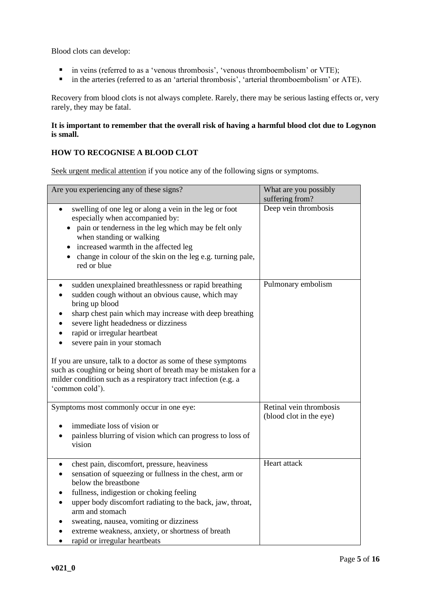Blood clots can develop:

- in veins (referred to as a 'venous thrombosis', 'venous thromboembolism' or VTE);
- in the arteries (referred to as an 'arterial thrombosis', 'arterial thromboembolism' or ATE).

Recovery from blood clots is not always complete. Rarely, there may be serious lasting effects or, very rarely, they may be fatal.

# **It is important to remember that the overall risk of having a harmful blood clot due to Logynon is small.**

# **HOW TO RECOGNISE A BLOOD CLOT**

Seek urgent medical attention if you notice any of the following signs or symptoms.

| Are you experiencing any of these signs?                                                                                                                                                                                                                                                                                                                                                                                                                                                                              | What are you possibly<br>suffering from?           |
|-----------------------------------------------------------------------------------------------------------------------------------------------------------------------------------------------------------------------------------------------------------------------------------------------------------------------------------------------------------------------------------------------------------------------------------------------------------------------------------------------------------------------|----------------------------------------------------|
| swelling of one leg or along a vein in the leg or foot<br>especially when accompanied by:<br>pain or tenderness in the leg which may be felt only<br>when standing or walking<br>increased warmth in the affected leg<br>change in colour of the skin on the leg e.g. turning pale,<br>red or blue                                                                                                                                                                                                                    | Deep vein thrombosis                               |
| sudden unexplained breathlessness or rapid breathing<br>sudden cough without an obvious cause, which may<br>bring up blood<br>sharp chest pain which may increase with deep breathing<br>severe light headedness or dizziness<br>rapid or irregular heartbeat<br>severe pain in your stomach<br>If you are unsure, talk to a doctor as some of these symptoms<br>such as coughing or being short of breath may be mistaken for a<br>milder condition such as a respiratory tract infection (e.g. a<br>'common cold'). | Pulmonary embolism                                 |
| Symptoms most commonly occur in one eye:<br>immediate loss of vision or<br>painless blurring of vision which can progress to loss of<br>vision                                                                                                                                                                                                                                                                                                                                                                        | Retinal vein thrombosis<br>(blood clot in the eye) |
| chest pain, discomfort, pressure, heaviness<br>$\bullet$<br>sensation of squeezing or fullness in the chest, arm or<br>below the breastbone<br>fullness, indigestion or choking feeling<br>upper body discomfort radiating to the back, jaw, throat,<br>arm and stomach<br>sweating, nausea, vomiting or dizziness<br>extreme weakness, anxiety, or shortness of breath<br>rapid or irregular heartbeats                                                                                                              | Heart attack                                       |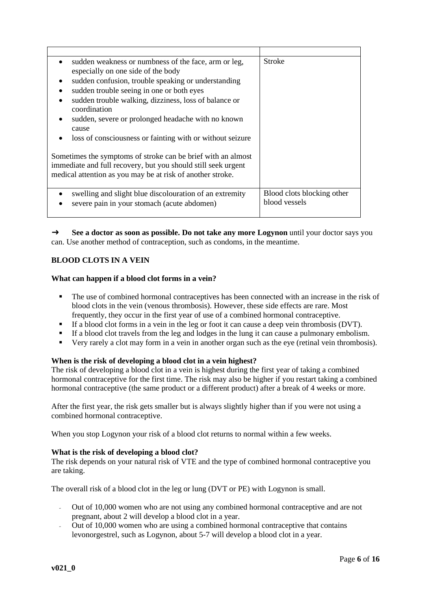| sudden weakness or numbness of the face, arm or leg,<br>especially on one side of the body<br>sudden confusion, trouble speaking or understanding<br>$\bullet$<br>sudden trouble seeing in one or both eyes<br>sudden trouble walking, dizziness, loss of balance or<br>coordination<br>sudden, severe or prolonged headache with no known<br>cause<br>loss of consciousness or fainting with or without seizure | <b>Stroke</b>                               |
|------------------------------------------------------------------------------------------------------------------------------------------------------------------------------------------------------------------------------------------------------------------------------------------------------------------------------------------------------------------------------------------------------------------|---------------------------------------------|
| Sometimes the symptoms of stroke can be brief with an almost<br>immediate and full recovery, but you should still seek urgent<br>medical attention as you may be at risk of another stroke.                                                                                                                                                                                                                      |                                             |
| swelling and slight blue discolouration of an extremity<br>severe pain in your stomach (acute abdomen)<br>$\bullet$                                                                                                                                                                                                                                                                                              | Blood clots blocking other<br>blood vessels |

→ See a doctor as soon as possible. Do not take any more Logynon until your doctor says you can. Use another method of contraception, such as condoms, in the meantime.

# **BLOOD CLOTS IN A VEIN**

#### **What can happen if a blood clot forms in a vein?**

- The use of combined hormonal contraceptives has been connected with an increase in the risk of blood clots in the vein (venous thrombosis). However, these side effects are rare. Most frequently, they occur in the first year of use of a combined hormonal contraceptive.
- If a blood clot forms in a vein in the leg or foot it can cause a deep vein thrombosis (DVT).
- If a blood clot travels from the leg and lodges in the lung it can cause a pulmonary embolism.
- Very rarely a clot may form in a vein in another organ such as the eye (retinal vein thrombosis).

#### **When is the risk of developing a blood clot in a vein highest?**

The risk of developing a blood clot in a vein is highest during the first year of taking a combined hormonal contraceptive for the first time. The risk may also be higher if you restart taking a combined hormonal contraceptive (the same product or a different product) after a break of 4 weeks or more.

After the first year, the risk gets smaller but is always slightly higher than if you were not using a combined hormonal contraceptive.

When you stop Logynon your risk of a blood clot returns to normal within a few weeks.

#### **What is the risk of developing a blood clot?**

The risk depends on your natural risk of VTE and the type of combined hormonal contraceptive you are taking.

The overall risk of a blood clot in the leg or lung (DVT or PE) with Logynon is small.

- Out of 10,000 women who are not using any combined hormonal contraceptive and are not pregnant, about 2 will develop a blood clot in a year.
- Out of 10,000 women who are using a combined hormonal contraceptive that contains levonorgestrel, such as Logynon, about 5-7 will develop a blood clot in a year.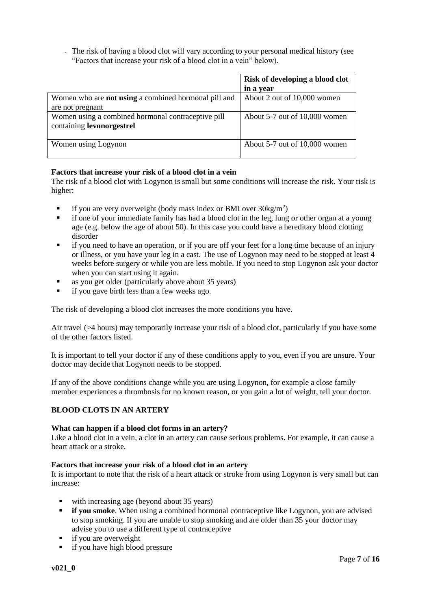- The risk of having a blood clot will vary according to your personal medical history (see "Factors that increase your risk of a blood clot in a vein" below).

|                                                             | Risk of developing a blood clot |
|-------------------------------------------------------------|---------------------------------|
|                                                             | in a year                       |
| Women who are <b>not using</b> a combined hormonal pill and | About 2 out of 10,000 women     |
| are not pregnant                                            |                                 |
| Women using a combined hormonal contraceptive pill          | About 5-7 out of 10,000 women   |
| containing levonorgestrel                                   |                                 |
|                                                             |                                 |
| Women using Logynon                                         | About 5-7 out of 10,000 women   |
|                                                             |                                 |

# **Factors that increase your risk of a blood clot in a vein**

The risk of a blood clot with Logynon is small but some conditions will increase the risk. Your risk is higher:

- **•** if you are very overweight (body mass index or BMI over  $30\text{kg/m}^2$ )
- if one of your immediate family has had a blood clot in the leg, lung or other organ at a young age (e.g. below the age of about 50). In this case you could have a hereditary blood clotting disorder
- if you need to have an operation, or if you are off your feet for a long time because of an injury or illness, or you have your leg in a cast. The use of Logynon may need to be stopped at least 4 weeks before surgery or while you are less mobile. If you need to stop Logynon ask your doctor when you can start using it again.
- as you get older (particularly above about 35 years)
- if you gave birth less than a few weeks ago.

The risk of developing a blood clot increases the more conditions you have.

Air travel (>4 hours) may temporarily increase your risk of a blood clot, particularly if you have some of the other factors listed.

It is important to tell your doctor if any of these conditions apply to you, even if you are unsure. Your doctor may decide that Logynon needs to be stopped.

If any of the above conditions change while you are using Logynon, for example a close family member experiences a thrombosis for no known reason, or you gain a lot of weight, tell your doctor.

#### **BLOOD CLOTS IN AN ARTERY**

#### **What can happen if a blood clot forms in an artery?**

Like a blood clot in a vein, a clot in an artery can cause serious problems. For example, it can cause a heart attack or a stroke.

#### **Factors that increase your risk of a blood clot in an artery**

It is important to note that the risk of a heart attack or stroke from using Logynon is very small but can increase:

- with increasing age (beyond about 35 years)
- **if you smoke**. When using a combined hormonal contraceptive like Logynon, you are advised to stop smoking. If you are unable to stop smoking and are older than 35 your doctor may advise you to use a different type of contraceptive
- if you are overweight
- **•** if you have high blood pressure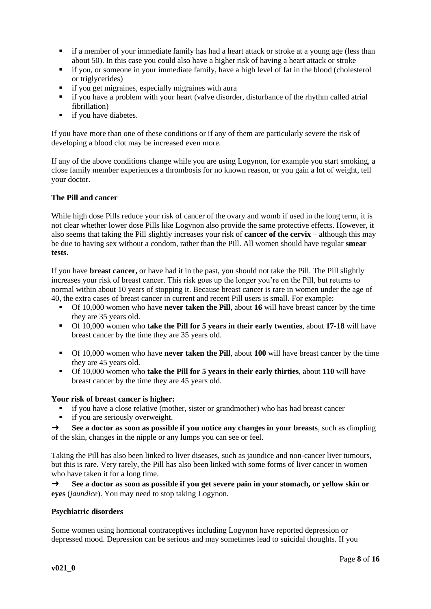- **•** if a member of your immediate family has had a heart attack or stroke at a young age (less than about 50). In this case you could also have a higher risk of having a heart attack or stroke
- if you, or someone in your immediate family, have a high level of fat in the blood (cholesterol or triglycerides)
- if you get migraines, especially migraines with aura
- if you have a problem with your heart (valve disorder, disturbance of the rhythm called atrial fibrillation)
- if you have diabetes.

If you have more than one of these conditions or if any of them are particularly severe the risk of developing a blood clot may be increased even more.

If any of the above conditions change while you are using Logynon, for example you start smoking, a close family member experiences a thrombosis for no known reason, or you gain a lot of weight, tell your doctor.

# **The Pill and cancer**

While high dose Pills reduce your risk of cancer of the ovary and womb if used in the long term, it is not clear whether lower dose Pills like Logynon also provide the same protective effects. However, it also seems that taking the Pill slightly increases your risk of **cancer of the cervix** – although this may be due to having sex without a condom, rather than the Pill. All women should have regular **smear tests**.

If you have **breast cancer,** or have had it in the past, you should not take the Pill. The Pill slightly increases your risk of breast cancer. This risk goes up the longer you're on the Pill, but returns to normal within about 10 years of stopping it. Because breast cancer is rare in women under the age of 40, the extra cases of breast cancer in current and recent Pill users is small. For example:

- Of 10,000 women who have **never taken the Pill**, about **16** will have breast cancer by the time they are 35 years old.
- Of 10,000 women who **take the Pill for 5 years in their early twenties**, about **17-18** will have breast cancer by the time they are 35 years old.
- Of 10,000 women who have **never taken the Pill**, about **100** will have breast cancer by the time they are 45 years old.
- Of 10,000 women who **take the Pill for 5 years in their early thirties**, about **110** will have breast cancer by the time they are 45 years old.

#### **Your risk of breast cancer is higher:**

- if you have a close relative (mother, sister or grandmother) who has had breast cancer<br>■ if you are seriously overweight
- if you are seriously overweight.

→ See a doctor as soon as possible if you notice any changes in your breasts, such as dimpling of the skin, changes in the nipple or any lumps you can see or feel.

Taking the Pill has also been linked to liver diseases, such as jaundice and non-cancer liver tumours, but this is rare. Very rarely, the Pill has also been linked with some forms of liver cancer in women who have taken it for a long time.

→ See a doctor as soon as possible if you get severe pain in your stomach, or yellow skin or **eyes** (*jaundice*). You may need to stop taking Logynon.

#### **Psychiatric disorders**

Some women using hormonal contraceptives including Logynon have reported depression or depressed mood. Depression can be serious and may sometimes lead to suicidal thoughts. If you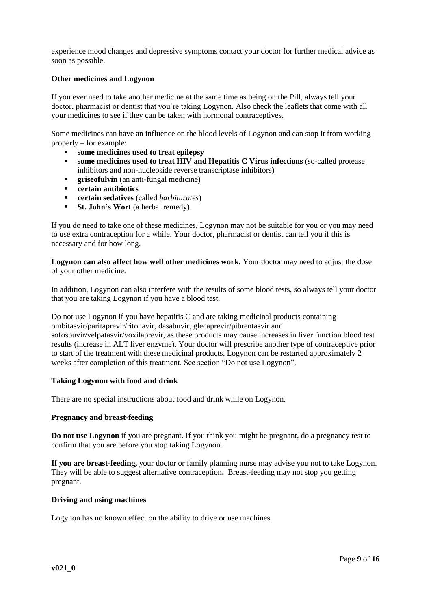experience mood changes and depressive symptoms contact your doctor for further medical advice as soon as possible.

## **Other medicines and Logynon**

If you ever need to take another medicine at the same time as being on the Pill, always tell your doctor, pharmacist or dentist that you're taking Logynon. Also check the leaflets that come with all your medicines to see if they can be taken with hormonal contraceptives.

Some medicines can have an influence on the blood levels of Logynon and can stop it from working properly – for example:

- **some medicines used to treat epilepsy**
- **some medicines used to treat HIV and Hepatitis C Virus infections** (so-called protease inhibitors and non-nucleoside reverse transcriptase inhibitors)
- **•** griseofulvin (an anti-fungal medicine)
- **certain antibiotics**
- **certain sedatives** (called *barbiturates*)
- **St. John's Wort** (a herbal remedy).

If you do need to take one of these medicines, Logynon may not be suitable for you or you may need to use extra contraception for a while. Your doctor, pharmacist or dentist can tell you if this is necessary and for how long.

**Logynon can also affect how well other medicines work.** Your doctor may need to adjust the dose of your other medicine.

In addition, Logynon can also interfere with the results of some blood tests, so always tell your doctor that you are taking Logynon if you have a blood test.

Do not use Logynon if you have hepatitis C and are taking medicinal products containing ombitasvir/paritaprevir/ritonavir, dasabuvir, glecaprevir/pibrentasvir and sofosbuvir/velpatasvir/voxilaprevir, as these products may cause increases in liver function blood test results (increase in ALT liver enzyme). Your doctor will prescribe another type of contraceptive prior to start of the treatment with these medicinal products. Logynon can be restarted approximately 2 weeks after completion of this treatment. See section "Do not use Logynon".

#### **Taking Logynon with food and drink**

There are no special instructions about food and drink while on Logynon.

#### **Pregnancy and breast-feeding**

**Do not use Logynon** if you are pregnant. If you think you might be pregnant, do a pregnancy test to confirm that you are before you stop taking Logynon.

**If you are breast-feeding,** your doctor or family planning nurse may advise you not to take Logynon. They will be able to suggest alternative contraception**.** Breast-feeding may not stop you getting pregnant.

#### **Driving and using machines**

Logynon has no known effect on the ability to drive or use machines.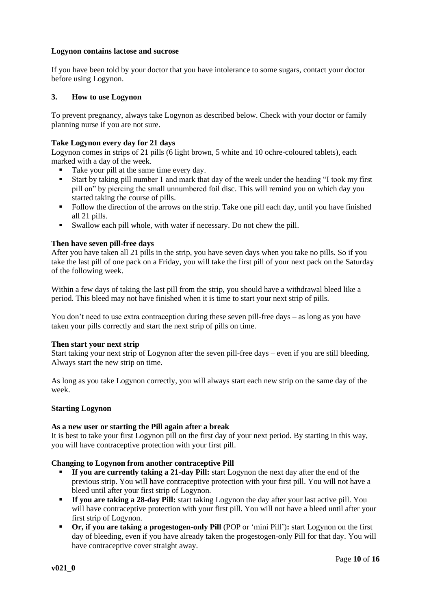# **Logynon contains lactose and sucrose**

If you have been told by your doctor that you have intolerance to some sugars, contact your doctor before using Logynon.

## **3. How to use Logynon**

To prevent pregnancy, always take Logynon as described below. Check with your doctor or family planning nurse if you are not sure.

## **Take Logynon every day for 21 days**

Logynon comes in strips of 21 pills (6 light brown, 5 white and 10 ochre-coloured tablets), each marked with a day of the week.

- Take your pill at the same time every day.
- Start by taking pill number 1 and mark that day of the week under the heading "I took my first pill on" by piercing the small unnumbered foil disc. This will remind you on which day you started taking the course of pills.
- Follow the direction of the arrows on the strip. Take one pill each day, until you have finished all 21 pills.
- Swallow each pill whole, with water if necessary. Do not chew the pill.

# **Then have seven pill-free days**

After you have taken all 21 pills in the strip, you have seven days when you take no pills. So if you take the last pill of one pack on a Friday, you will take the first pill of your next pack on the Saturday of the following week.

Within a few days of taking the last pill from the strip, you should have a withdrawal bleed like a period. This bleed may not have finished when it is time to start your next strip of pills.

You don't need to use extra contraception during these seven pill-free days – as long as you have taken your pills correctly and start the next strip of pills on time.

#### **Then start your next strip**

Start taking your next strip of Logynon after the seven pill-free days – even if you are still bleeding. Always start the new strip on time.

As long as you take Logynon correctly, you will always start each new strip on the same day of the week.

## **Starting Logynon**

#### **As a new user or starting the Pill again after a break**

It is best to take your first Logynon pill on the first day of your next period. By starting in this way, you will have contraceptive protection with your first pill.

#### **Changing to Logynon from another contraceptive Pill**

- **If you are currently taking a 21-day Pill:** start Logynon the next day after the end of the previous strip. You will have contraceptive protection with your first pill. You will not have a bleed until after your first strip of Logynon.
- **If you are taking a 28-day Pill:** start taking Logynon the day after your last active pill. You will have contraceptive protection with your first pill. You will not have a bleed until after your first strip of Logynon.
- **Or, if you are taking a progestogen-only Pill** (POP or 'mini Pill')**:** start Logynon on the first day of bleeding, even if you have already taken the progestogen-only Pill for that day. You will have contraceptive cover straight away.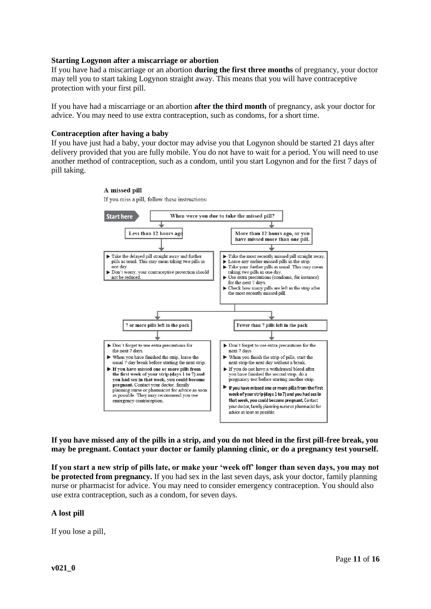#### **Starting Logynon after a miscarriage or abortion**

If you have had a miscarriage or an abortion **during the first three months** of pregnancy, your doctor may tell you to start taking Logynon straight away. This means that you will have contraceptive protection with your first pill.

If you have had a miscarriage or an abortion **after the third month** of pregnancy, ask your doctor for advice. You may need to use extra contraception, such as condoms, for a short time.

#### **Contraception after having a baby**

If you have just had a baby, your doctor may advise you that Logynon should be started 21 days after delivery provided that you are fully mobile. You do not have to wait for a period. You will need to use another method of contraception, such as a condom, until you start Logynon and for the first 7 days of pill taking.

> A missed pill If you miss a pill, follow these instructions:



**If you have missed any of the pills in a strip, and you do not bleed in the first pill-free break, you may be pregnant. Contact your doctor or family planning clinic, or do a pregnancy test yourself.**

**If you start a new strip of pills late, or make your 'week off' longer than seven days, you may not be protected from pregnancy.** If you had sex in the last seven days, ask your doctor, family planning nurse or pharmacist for advice. You may need to consider emergency contraception. You should also use extra contraception, such as a condom, for seven days.

#### **A lost pill**

If you lose a pill,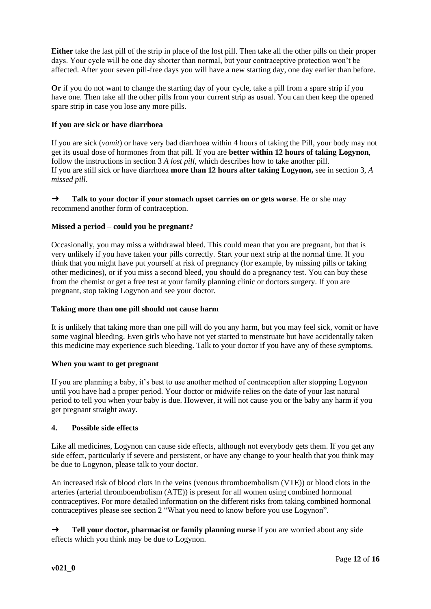**Either** take the last pill of the strip in place of the lost pill. Then take all the other pills on their proper days. Your cycle will be one day shorter than normal, but your contraceptive protection won't be affected. After your seven pill-free days you will have a new starting day, one day earlier than before.

**Or** if you do not want to change the starting day of your cycle, take a pill from a spare strip if you have one. Then take all the other pills from your current strip as usual. You can then keep the opened spare strip in case you lose any more pills.

# **If you are sick or have diarrhoea**

If you are sick (*vomit*) or have very bad diarrhoea within 4 hours of taking the Pill, your body may not get its usual dose of hormones from that pill. If you are **better within 12 hours of taking Logynon**, follow the instructions in section 3 *A lost pill*, which describes how to take another pill. If you are still sick or have diarrhoea **more than 12 hours after taking Logynon,** see in section 3, *A missed pill*.

→ **Talk to your doctor if your stomach upset carries on or gets worse**. He or she may recommend another form of contraception.

# **Missed a period – could you be pregnant?**

Occasionally, you may miss a withdrawal bleed. This could mean that you are pregnant, but that is very unlikely if you have taken your pills correctly. Start your next strip at the normal time. If you think that you might have put yourself at risk of pregnancy (for example, by missing pills or taking other medicines), or if you miss a second bleed, you should do a pregnancy test. You can buy these from the chemist or get a free test at your family planning clinic or doctors surgery. If you are pregnant, stop taking Logynon and see your doctor.

#### **Taking more than one pill should not cause harm**

It is unlikely that taking more than one pill will do you any harm, but you may feel sick, vomit or have some vaginal bleeding. Even girls who have not yet started to menstruate but have accidentally taken this medicine may experience such bleeding. Talk to your doctor if you have any of these symptoms.

#### **When you want to get pregnant**

If you are planning a baby, it's best to use another method of contraception after stopping Logynon until you have had a proper period. Your doctor or midwife relies on the date of your last natural period to tell you when your baby is due. However, it will not cause you or the baby any harm if you get pregnant straight away.

#### **4. Possible side effects**

Like all medicines, Logynon can cause side effects, although not everybody gets them. If you get any side effect, particularly if severe and persistent, or have any change to your health that you think may be due to Logynon, please talk to your doctor.

An increased risk of blood clots in the veins (venous thromboembolism (VTE)) or blood clots in the arteries (arterial thromboembolism (ATE)) is present for all women using combined hormonal contraceptives. For more detailed information on the different risks from taking combined hormonal contraceptives please see section 2 "What you need to know before you use Logynon".

→ **Tell your doctor, pharmacist or family planning nurse** if you are worried about any side effects which you think may be due to Logynon.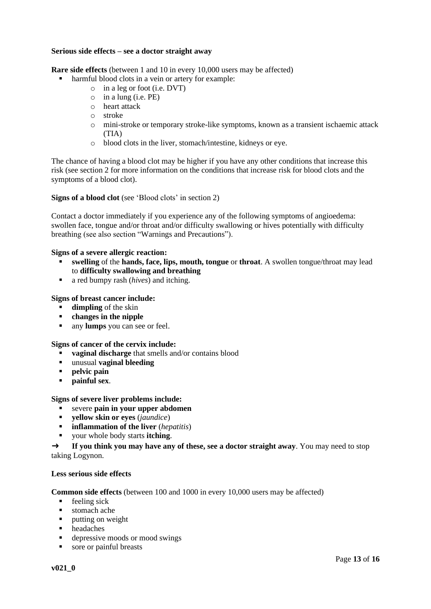## **Serious side effects – see a doctor straight away**

**Rare side effects** (between 1 and 10 in every 10,000 users may be affected)

- harmful blood clots in a vein or artery for example:
	- o in a leg or foot (i.e. DVT)
	- $\circ$  in a lung (i.e. PE)
	- o heart attack
	- o stroke
	- o mini-stroke or temporary stroke-like symptoms, known as a transient ischaemic attack (TIA)
	- o blood clots in the liver, stomach/intestine, kidneys or eye.

The chance of having a blood clot may be higher if you have any other conditions that increase this risk (see section 2 for more information on the conditions that increase risk for blood clots and the symptoms of a blood clot).

**Signs of a blood clot** (see 'Blood clots' in section 2)

Contact a doctor immediately if you experience any of the following symptoms of angioedema: swollen face, tongue and/or throat and/or difficulty swallowing or hives potentially with difficulty breathing (see also section "Warnings and Precautions").

#### **Signs of a severe allergic reaction:**

- **swelling** of the **hands, face, lips, mouth, tongue** or **throat**. A swollen tongue/throat may lead to **difficulty swallowing and breathing**
- a red bumpy rash (*hives*) and itching.

#### **Signs of breast cancer include:**

- **dimpling** of the skin
- changes in the nipple
- any **lumps** you can see or feel.

#### **Signs of cancer of the cervix include:**

- **• vaginal discharge** that smells and/or contains blood
- unusual **vaginal bleeding**
- **pelvic pain**
- **painful sex**.

#### **Signs of severe liver problems include:**

- severe **pain in your upper abdomen**
- **yellow skin or eyes** (*jaundice*)
- **inflammation of the liver** (*hepatitis*)
- your whole body starts **itching**.

→ **If you think you may have any of these, see a doctor straight away**. You may need to stop taking Logynon.

#### **Less serious side effects**

**Common side effects** (between 100 and 1000 in every 10,000 users may be affected)

- $\blacksquare$  feeling sick
- stomach ache
- putting on weight
- headaches
- depressive moods or mood swings
- sore or painful breasts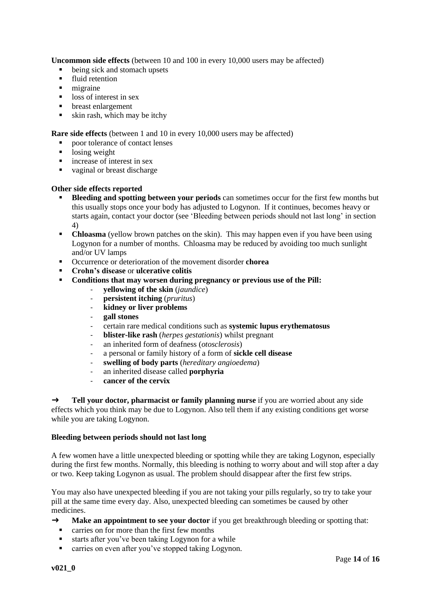**Uncommon side effects** (between 10 and 100 in every 10,000 users may be affected)

- being sick and stomach upsets
- **·** fluid retention
- migraine
- loss of interest in sex
- **•** breast enlargement
- $\bullet$  skin rash, which may be itchy

**Rare side effects** (between 1 and 10 in every 10,000 users may be affected)

- poor tolerance of contact lenses
- **•** losing weight
- increase of interest in sex
- vaginal or breast discharge

# **Other side effects reported**

- **Bleeding and spotting between your periods** can sometimes occur for the first few months but this usually stops once your body has adjusted to Logynon. If it continues, becomes heavy or starts again, contact your doctor (see 'Bleeding between periods should not last long' in section 4)
- **Chloasma** (yellow brown patches on the skin). This may happen even if you have been using Logynon for a number of months. Chloasma may be reduced by avoiding too much sunlight and/or UV lamps
- Occurrence or deterioration of the movement disorder **chorea**
- **Crohn's disease** or **ulcerative colitis**
- **Conditions that may worsen during pregnancy or previous use of the Pill:**
	- **yellowing of the skin** (*jaundice*)
	- **persistent itching** (*pruritus*)
	- **kidney or liver problems**
	- **gall stones**
	- certain rare medical conditions such as **systemic lupus erythematosus**
	- **blister-like rash** (*herpes gestationis*) whilst pregnant
	- an inherited form of deafness (*otosclerosis*)
	- a personal or family history of a form of **sickle cell disease**
	- **swelling of body parts** (*hereditary angioedema*)
	- an inherited disease called **porphyria**
	- cancer of the cervix

→ **Tell your doctor, pharmacist or family planning nurse** if you are worried about any side effects which you think may be due to Logynon. Also tell them if any existing conditions get worse while you are taking Logynon.

# **Bleeding between periods should not last long**

A few women have a little unexpected bleeding or spotting while they are taking Logynon, especially during the first few months. Normally, this bleeding is nothing to worry about and will stop after a day or two. Keep taking Logynon as usual. The problem should disappear after the first few strips.

You may also have unexpected bleeding if you are not taking your pills regularly, so try to take your pill at the same time every day. Also, unexpected bleeding can sometimes be caused by other medicines.

- → **Make an appointment to see your doctor** if you get breakthrough bleeding or spotting that:
	- carries on for more than the first few months
	- starts after you've been taking Logynon for a while
	- carries on even after you've stopped taking Logynon.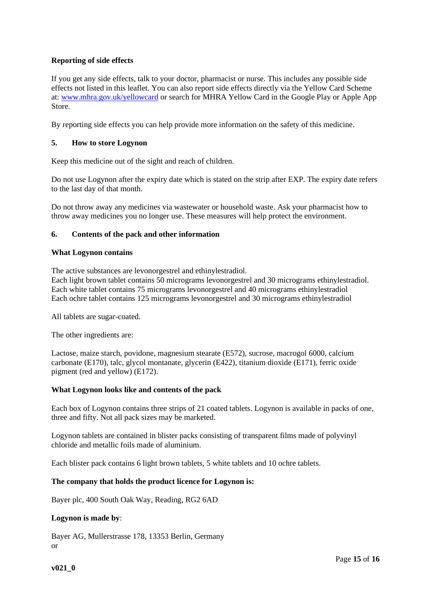# **Reporting of side effects**

If you get any side effects, talk to your doctor, pharmacist or nurse. This includes any possible side effects not listed in this leaflet. You can also report side effects directly via the Yellow Card Scheme at[: www.mhra.gov.uk/yellowcard](http://www.mhra.gov.uk/yellowcard) or search for MHRA Yellow Card in the Google Play or Apple App Store.

By reporting side effects you can help provide more information on the safety of this medicine.

# **5. How to store Logynon**

Keep this medicine out of the sight and reach of children.

Do not use Logynon after the expiry date which is stated on the strip after EXP. The expiry date refers to the last day of that month.

Do not throw away any medicines via wastewater or household waste. Ask your pharmacist how to throw away medicines you no longer use. These measures will help protect the environment.

# **6. Contents of the pack and other information**

#### **What Logynon contains**

The active substances are levonorgestrel and ethinylestradiol. Each light brown tablet contains 50 micrograms levonorgestrel and 30 micrograms ethinylestradiol. Each white tablet contains 75 micrograms levonorgestrel and 40 micrograms ethinylestradiol Each ochre tablet contains 125 micrograms levonorgestrel and 30 micrograms ethinylestradiol

All tablets are sugar-coated.

The other ingredients are:

Lactose, maize starch, povidone, magnesium stearate (E572), sucrose, macrogol 6000, calcium carbonate (E170), talc, glycol montanate, glycerin (E422), titanium dioxide (E171), ferric oxide pigment (red and yellow) (E172).

#### **What Logynon looks like and contents of the pack**

Each box of Logynon contains three strips of 21 coated tablets. Logynon is available in packs of one, three and fifty. Not all pack sizes may be marketed.

Logynon tablets are contained in blister packs consisting of transparent films made of polyvinyl chloride and metallic foils made of aluminium.

Each blister pack contains 6 light brown tablets, 5 white tablets and 10 ochre tablets.

#### **The company that holds the product licence for Logynon is:**

Bayer plc, 400 South Oak Way, Reading, RG2 6AD

#### **Logynon is made by**:

Bayer AG, Mullerstrasse 178, 13353 Berlin, Germany or